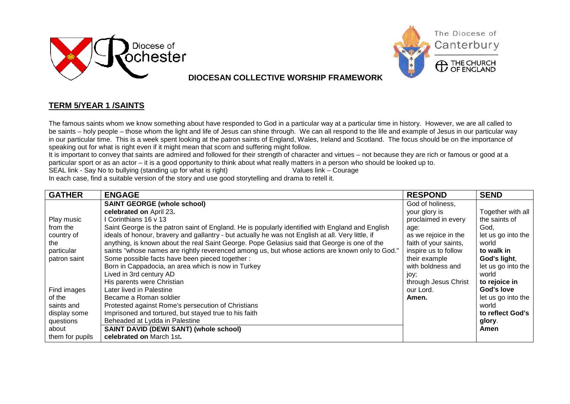



**DIOCESAN COLLECTIVE WORSHIP FRAMEWORK**

## **TERM 5/YEAR 1 /SAINTS**

The famous saints whom we know something about have responded to God in a particular way at a particular time in history. However, we are all called to be saints – holy people – those whom the light and life of Jesus can shine through. We can all respond to the life and example of Jesus in our particular way in our particular time. This is a week spent looking at the patron saints of England, Wales, Ireland and Scotland. The focus should be on the importance of speaking out for what is right even if it might mean that scorn and suffering might follow.

It is important to convey that saints are admired and followed for their strength of character and virtues – not because they are rich or famous or good at a particular sport or as an actor – it is a good opportunity to think about what really matters in a person who should be looked up to.<br>SEAL link - Say No to bullying (standing up for what is right) Values link – Courage

SEAL link - Say No to bullying (standing up for what is right) In each case, find a suitable version of the story and use good storytelling and drama to retell it.

| <b>GATHER</b>   | <b>ENGAGE</b>                                                                                     | <b>RESPOND</b>        | <b>SEND</b>        |
|-----------------|---------------------------------------------------------------------------------------------------|-----------------------|--------------------|
|                 | <b>SAINT GEORGE (whole school)</b>                                                                | God of holiness,      |                    |
|                 | celebrated on April 23.                                                                           | your glory is         | Together with all  |
| Play music      | Corinthians 16 v 13                                                                               | proclaimed in every   | the saints of      |
| from the        | Saint George is the patron saint of England. He is popularly identified with England and English  | age:                  | God.               |
| country of      | ideals of honour, bravery and gallantry - but actually he was not English at all. Very little, if | as we rejoice in the  | let us go into the |
| the             | anything, is known about the real Saint George. Pope Gelasius said that George is one of the      | faith of your saints, | world              |
| particular      | saints "whose names are rightly reverenced among us, but whose actions are known only to God."    | inspire us to follow  | to walk in         |
| patron saint    | Some possible facts have been pieced together :                                                   | their example         | God's light,       |
|                 | Born in Cappadocia, an area which is now in Turkey                                                | with boldness and     | let us go into the |
|                 | Lived in 3rd century AD                                                                           | joy;                  | world              |
|                 | His parents were Christian                                                                        | through Jesus Christ  | to rejoice in      |
| Find images     | Later lived in Palestine                                                                          | our Lord.             | God's love         |
| of the          | Became a Roman soldier                                                                            | Amen.                 | let us go into the |
| saints and      | Protested against Rome's persecution of Christians                                                |                       | world              |
| display some    | Imprisoned and tortured, but stayed true to his faith                                             |                       | to reflect God's   |
| questions       | Beheaded at Lydda in Palestine                                                                    |                       | glory.             |
| about           | SAINT DAVID (DEWI SANT) (whole school)                                                            |                       | Amen               |
| them for pupils | celebrated on March 1st.                                                                          |                       |                    |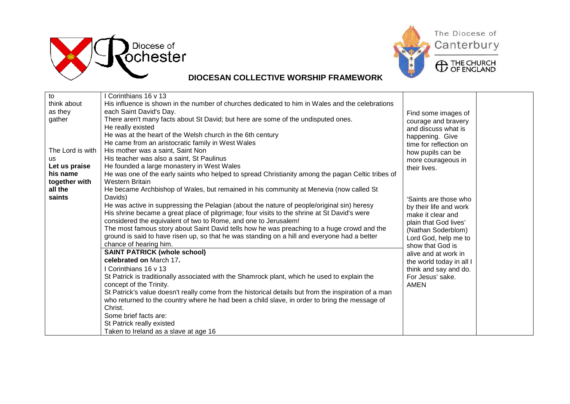



## **DIOCESAN COLLECTIVE WORSHIP FRAMEWORK**

| to               | Corinthians 16 y 13                                                                                  |                          |  |
|------------------|------------------------------------------------------------------------------------------------------|--------------------------|--|
| think about      | His influence is shown in the number of churches dedicated to him in Wales and the celebrations      |                          |  |
| as they          | each Saint David's Day.                                                                              | Find some images of      |  |
| gather           | There aren't many facts about St David; but here are some of the undisputed ones.                    | courage and bravery      |  |
|                  | He really existed                                                                                    | and discuss what is      |  |
|                  | He was at the heart of the Welsh church in the 6th century                                           | happening. Give          |  |
|                  | He came from an aristocratic family in West Wales                                                    | time for reflection on   |  |
| The Lord is with | His mother was a saint, Saint Non                                                                    | how pupils can be        |  |
| us               | His teacher was also a saint, St Paulinus                                                            | more courageous in       |  |
| Let us praise    | He founded a large monastery in West Wales                                                           | their lives.             |  |
| his name         | He was one of the early saints who helped to spread Christianity among the pagan Celtic tribes of    |                          |  |
| together with    | <b>Western Britain</b>                                                                               |                          |  |
| all the          | He became Archbishop of Wales, but remained in his community at Menevia (now called St               |                          |  |
| saints           | Davids)                                                                                              | 'Saints are those who    |  |
|                  | He was active in suppressing the Pelagian (about the nature of people/original sin) heresy           | by their life and work   |  |
|                  | His shrine became a great place of pilgrimage; four visits to the shrine at St David's were          | make it clear and        |  |
|                  | considered the equivalent of two to Rome, and one to Jerusalem!                                      | plain that God lives'    |  |
|                  | The most famous story about Saint David tells how he was preaching to a huge crowd and the           | (Nathan Soderblom)       |  |
|                  | ground is said to have risen up, so that he was standing on a hill and everyone had a better         | Lord God, help me to     |  |
|                  | chance of hearing him.                                                                               | show that God is         |  |
|                  | <b>SAINT PATRICK (whole school)</b>                                                                  | alive and at work in     |  |
|                  | celebrated on March 17.                                                                              | the world today in all I |  |
|                  | I Corinthians 16 v 13                                                                                | think and say and do.    |  |
|                  | St Patrick is traditionally associated with the Shamrock plant, which he used to explain the         | For Jesus' sake.         |  |
|                  | concept of the Trinity.                                                                              | <b>AMEN</b>              |  |
|                  | St Patrick's value doesn't really come from the historical details but from the inspiration of a man |                          |  |
|                  | who returned to the country where he had been a child slave, in order to bring the message of        |                          |  |
|                  | Christ.                                                                                              |                          |  |
|                  | Some brief facts are:                                                                                |                          |  |
|                  | St Patrick really existed                                                                            |                          |  |
|                  | Taken to Ireland as a slave at age 16                                                                |                          |  |